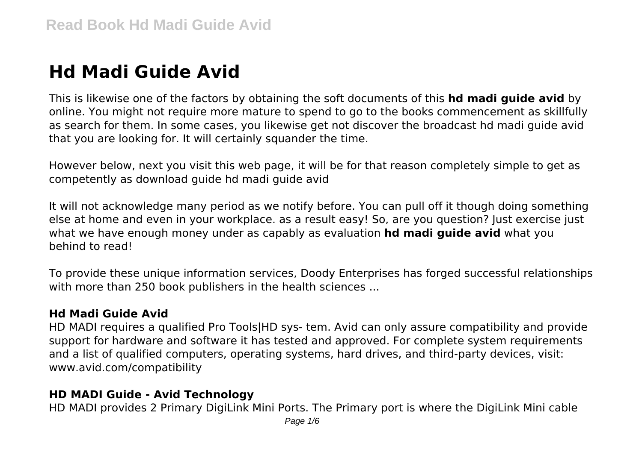# **Hd Madi Guide Avid**

This is likewise one of the factors by obtaining the soft documents of this **hd madi guide avid** by online. You might not require more mature to spend to go to the books commencement as skillfully as search for them. In some cases, you likewise get not discover the broadcast hd madi guide avid that you are looking for. It will certainly squander the time.

However below, next you visit this web page, it will be for that reason completely simple to get as competently as download guide hd madi guide avid

It will not acknowledge many period as we notify before. You can pull off it though doing something else at home and even in your workplace. as a result easy! So, are you question? Just exercise just what we have enough money under as capably as evaluation **hd madi guide avid** what you behind to read!

To provide these unique information services, Doody Enterprises has forged successful relationships with more than 250 book publishers in the health sciences ...

# **Hd Madi Guide Avid**

HD MADI requires a qualified Pro Tools|HD sys- tem. Avid can only assure compatibility and provide support for hardware and software it has tested and approved. For complete system requirements and a list of qualified computers, operating systems, hard drives, and third-party devices, visit: www.avid.com/compatibility

# **HD MADI Guide - Avid Technology**

HD MADI provides 2 Primary DigiLink Mini Ports. The Primary port is where the DigiLink Mini cable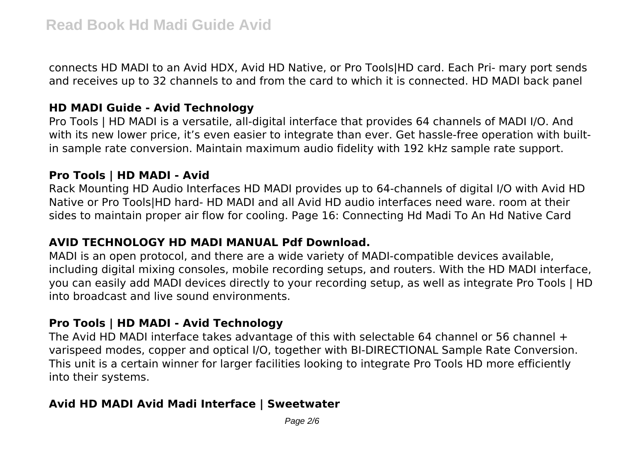connects HD MADI to an Avid HDX, Avid HD Native, or Pro Tools|HD card. Each Pri- mary port sends and receives up to 32 channels to and from the card to which it is connected. HD MADI back panel

#### **HD MADI Guide - Avid Technology**

Pro Tools | HD MADI is a versatile, all-digital interface that provides 64 channels of MADI I/O. And with its new lower price, it's even easier to integrate than ever. Get hassle-free operation with builtin sample rate conversion. Maintain maximum audio fidelity with 192 kHz sample rate support.

# **Pro Tools | HD MADI - Avid**

Rack Mounting HD Audio Interfaces HD MADI provides up to 64-channels of digital I/O with Avid HD Native or Pro Tools|HD hard- HD MADI and all Avid HD audio interfaces need ware. room at their sides to maintain proper air flow for cooling. Page 16: Connecting Hd Madi To An Hd Native Card

# **AVID TECHNOLOGY HD MADI MANUAL Pdf Download.**

MADI is an open protocol, and there are a wide variety of MADI-compatible devices available, including digital mixing consoles, mobile recording setups, and routers. With the HD MADI interface, you can easily add MADI devices directly to your recording setup, as well as integrate Pro Tools | HD into broadcast and live sound environments.

# **Pro Tools | HD MADI - Avid Technology**

The Avid HD MADI interface takes advantage of this with selectable 64 channel or 56 channel  $+$ varispeed modes, copper and optical I/O, together with BI-DIRECTIONAL Sample Rate Conversion. This unit is a certain winner for larger facilities looking to integrate Pro Tools HD more efficiently into their systems.

# **Avid HD MADI Avid Madi Interface | Sweetwater**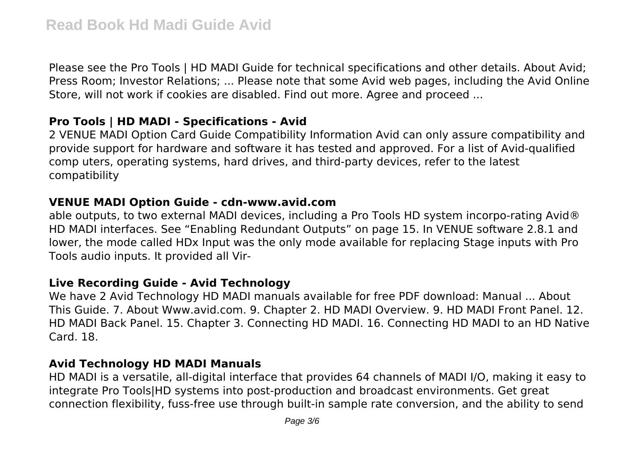Please see the Pro Tools | HD MADI Guide for technical specifications and other details. About Avid; Press Room; Investor Relations; ... Please note that some Avid web pages, including the Avid Online Store, will not work if cookies are disabled. Find out more. Agree and proceed ...

# **Pro Tools | HD MADI - Specifications - Avid**

2 VENUE MADI Option Card Guide Compatibility Information Avid can only assure compatibility and provide support for hardware and software it has tested and approved. For a list of Avid-qualified comp uters, operating systems, hard drives, and third-party devices, refer to the latest compatibility

#### **VENUE MADI Option Guide - cdn-www.avid.com**

able outputs, to two external MADI devices, including a Pro Tools HD system incorpo-rating Avid® HD MADI interfaces. See "Enabling Redundant Outputs" on page 15. In VENUE software 2.8.1 and lower, the mode called HDx Input was the only mode available for replacing Stage inputs with Pro Tools audio inputs. It provided all Vir-

# **Live Recording Guide - Avid Technology**

We have 2 Avid Technology HD MADI manuals available for free PDF download: Manual ... About This Guide. 7. About Www.avid.com. 9. Chapter 2. HD MADI Overview. 9. HD MADI Front Panel. 12. HD MADI Back Panel. 15. Chapter 3. Connecting HD MADI. 16. Connecting HD MADI to an HD Native Card. 18.

#### **Avid Technology HD MADI Manuals**

HD MADI is a versatile, all-digital interface that provides 64 channels of MADI I/O, making it easy to integrate Pro Tools|HD systems into post-production and broadcast environments. Get great connection flexibility, fuss-free use through built-in sample rate conversion, and the ability to send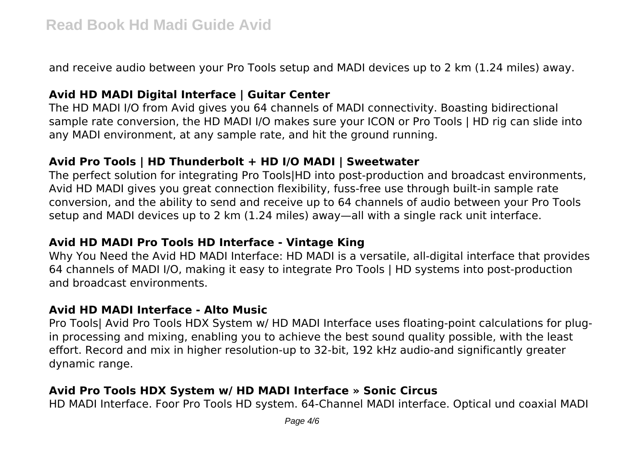and receive audio between your Pro Tools setup and MADI devices up to 2 km (1.24 miles) away.

# **Avid HD MADI Digital Interface | Guitar Center**

The HD MADI I/O from Avid gives you 64 channels of MADI connectivity. Boasting bidirectional sample rate conversion, the HD MADI I/O makes sure your ICON or Pro Tools | HD rig can slide into any MADI environment, at any sample rate, and hit the ground running.

# **Avid Pro Tools | HD Thunderbolt + HD I/O MADI | Sweetwater**

The perfect solution for integrating Pro Tools|HD into post-production and broadcast environments, Avid HD MADI gives you great connection flexibility, fuss-free use through built-in sample rate conversion, and the ability to send and receive up to 64 channels of audio between your Pro Tools setup and MADI devices up to 2 km (1.24 miles) away—all with a single rack unit interface.

#### **Avid HD MADI Pro Tools HD Interface - Vintage King**

Why You Need the Avid HD MADI Interface: HD MADI is a versatile, all-digital interface that provides 64 channels of MADI I/O, making it easy to integrate Pro Tools | HD systems into post-production and broadcast environments.

#### **Avid HD MADI Interface - Alto Music**

Pro Tools| Avid Pro Tools HDX System w/ HD MADI Interface uses floating-point calculations for plugin processing and mixing, enabling you to achieve the best sound quality possible, with the least effort. Record and mix in higher resolution-up to 32-bit, 192 kHz audio-and significantly greater dynamic range.

# **Avid Pro Tools HDX System w/ HD MADI Interface » Sonic Circus**

HD MADI Interface. Foor Pro Tools HD system. 64-Channel MADI interface. Optical und coaxial MADI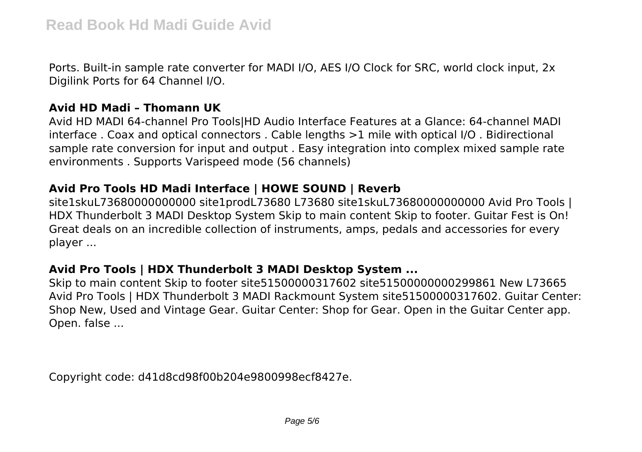Ports. Built-in sample rate converter for MADI I/O, AES I/O Clock for SRC, world clock input, 2x Digilink Ports for 64 Channel I/O.

#### **Avid HD Madi – Thomann UK**

Avid HD MADI 64-channel Pro Tools|HD Audio Interface Features at a Glance: 64-channel MADI interface . Coax and optical connectors . Cable lengths >1 mile with optical I/O . Bidirectional sample rate conversion for input and output . Easy integration into complex mixed sample rate environments . Supports Varispeed mode (56 channels)

# **Avid Pro Tools HD Madi Interface | HOWE SOUND | Reverb**

site1skuL73680000000000 site1prodL73680 L73680 site1skuL73680000000000 Avid Pro Tools | HDX Thunderbolt 3 MADI Desktop System Skip to main content Skip to footer. Guitar Fest is On! Great deals on an incredible collection of instruments, amps, pedals and accessories for every player ...

# **Avid Pro Tools | HDX Thunderbolt 3 MADI Desktop System ...**

Skip to main content Skip to footer site51500000317602 site51500000000299861 New L73665 Avid Pro Tools | HDX Thunderbolt 3 MADI Rackmount System site51500000317602. Guitar Center: Shop New, Used and Vintage Gear. Guitar Center: Shop for Gear. Open in the Guitar Center app. Open. false ...

Copyright code: d41d8cd98f00b204e9800998ecf8427e.